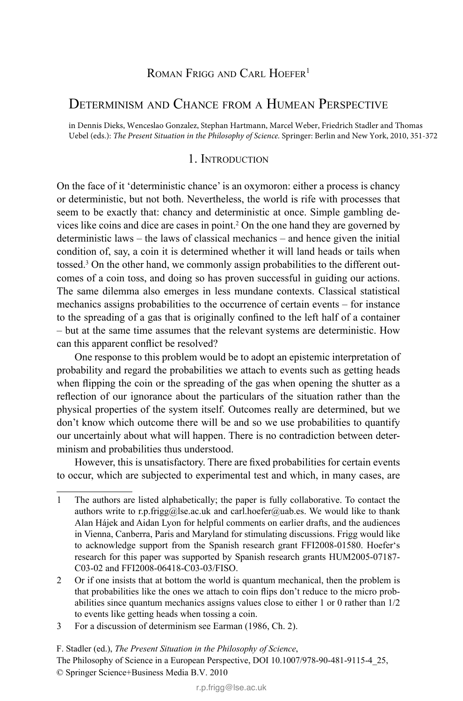# ROMAN FRIGG AND CARL HOEFER<sup>1</sup>

# DETERMINISM AND CHANCE FROM A HUMEAN PERSPECTIVE

in Dennis Dieks, Wenceslao Gonzalez, Stephan Hartmann, Marcel Weber, Friedrich Stadler and Thomas Uebel (eds.): *The Present Situation in the Philosophy of Science.* Springer: Berlin and New York, 2010, 351-372

## 1. INTRODUCTION

On the face of it 'deterministic chance' is an oxymoron: either a process is chancy or deterministic, but not both. Nevertheless, the world is rife with processes that seem to be exactly that: chancy and deterministic at once. Simple gambling devices like coins and dice are cases in point.2 On the one hand they are governed by deterministic laws – the laws of classical mechanics – and hence given the initial condition of, say, a coin it is determined whether it will land heads or tails when tossed.3 On the other hand, we commonly assign probabilities to the different outcomes of a coin toss, and doing so has proven successful in guiding our actions. The same dilemma also emerges in less mundane contexts. Classical statistical mechanics assigns probabilities to the occurrence of certain events – for instance to the spreading of a gas that is originally confined to the left half of a container – but at the same time assumes that the relevant systems are deterministic. How can this apparent conflict be resolved?

 One response to this problem would be to adopt an epistemic interpretation of probability and regard the probabilities we attach to events such as getting heads when flipping the coin or the spreading of the gas when opening the shutter as a reflection of our ignorance about the particulars of the situation rather than the physical properties of the system itself. Outcomes really are determined, but we don't know which outcome there will be and so we use probabilities to quantify our uncertainly about what will happen. There is no contradiction between determinism and probabilities thus understood.

However, this is unsatisfactory. There are fixed probabilities for certain events to occur, which are subjected to experimental test and which, in many cases, are

F. Stadler (ed.), *The Present Situation in the Philosophy of Science*,

<sup>1</sup> The authors are listed alphabetically; the paper is fully collaborative. To contact the authors write to r.p.frigg@lse.ac.uk and carl.hoefer@uab.es. We would like to thank Alan Hájek and Aidan Lyon for helpful comments on earlier drafts, and the audiences in Vienna, Canberra, Paris and Maryland for stimulating discussions. Frigg would like to acknowledge support from the Spanish research grant FFI2008-01580. Hoefer's research for this paper was supported by Spanish research grants HUM2005-07187- C03-02 and FFI2008-06418-C03-03/FISO.

<sup>2</sup> Or if one insists that at bottom the world is quantum mechanical, then the problem is that probabilities like the ones we attach to coin flips don't reduce to the micro probabilities since quantum mechanics assigns values close to either 1 or 0 rather than 1/2 to events like getting heads when tossing a coin.

<sup>3</sup> For a discussion of determinism see Earman (1986, Ch. 2).

The Philosophy of Science in a European Perspective, DOI 10.1007/978-90-481-9115-4\_25, © Springer Science+Business Media B.V. 2010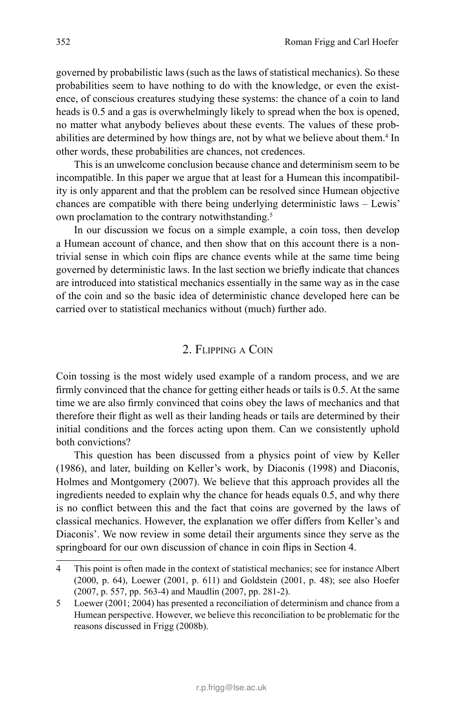governed by probabilistic laws (such as the laws of statistical mechanics). So these probabilities seem to have nothing to do with the knowledge, or even the existence, of conscious creatures studying these systems: the chance of a coin to land heads is 0.5 and a gas is overwhelmingly likely to spread when the box is opened, no matter what anybody believes about these events. The values of these probabilities are determined by how things are, not by what we believe about them.<sup>4</sup> In other words, these probabilities are chances, not credences.

 This is an unwelcome conclusion because chance and determinism seem to be incompatible. In this paper we argue that at least for a Humean this incompatibility is only apparent and that the problem can be resolved since Humean objective chances are compatible with there being underlying deterministic laws – Lewis' own proclamation to the contrary notwithstanding.<sup>5</sup>

 In our discussion we focus on a simple example, a coin toss, then develop a Humean account of chance, and then show that on this account there is a nontrivial sense in which coin flips are chance events while at the same time being governed by deterministic laws. In the last section we briefly indicate that chances are introduced into statistical mechanics essentially in the same way as in the case of the coin and so the basic idea of deterministic chance developed here can be carried over to statistical mechanics without (much) further ado.

## 2. FLIPPING A COIN

Coin tossing is the most widely used example of a random process, and we are firmly convinced that the chance for getting either heads or tails is 0.5. At the same time we are also firmly convinced that coins obey the laws of mechanics and that therefore their flight as well as their landing heads or tails are determined by their initial conditions and the forces acting upon them. Can we consistently uphold both convictions?

 This question has been discussed from a physics point of view by Keller (1986), and later, building on Keller's work, by Diaconis (1998) and Diaconis, Holmes and Montgomery (2007). We believe that this approach provides all the ingredients needed to explain why the chance for heads equals 0.5, and why there is no conflict between this and the fact that coins are governed by the laws of classical mechanics. However, the explanation we offer differs from Keller's and Diaconis'. We now review in some detail their arguments since they serve as the springboard for our own discussion of chance in coin flips in Section 4.

<sup>4</sup> This point is often made in the context of statistical mechanics; see for instance Albert (2000, p. 64), Loewer (2001, p. 611) and Goldstein (2001, p. 48); see also Hoefer (2007, p. 557, pp. 563-4) and Maudlin (2007, pp. 281-2).

<sup>5</sup> Loewer (2001; 2004) has presented a reconciliation of determinism and chance from a Humean perspective. However, we believe this reconciliation to be problematic for the reasons discussed in Frigg (2008b).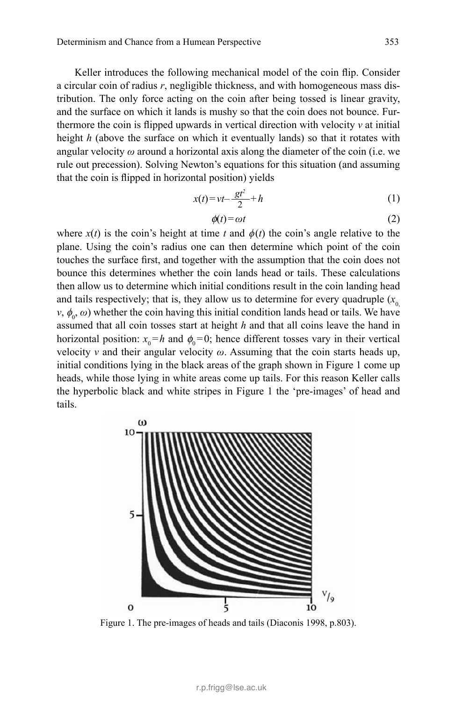Keller introduces the following mechanical model of the coin flip. Consider a circular coin of radius *r*, negligible thickness, and with homogeneous mass distribution. The only force acting on the coin after being tossed is linear gravity, and the surface on which it lands is mushy so that the coin does not bounce. Furthermore the coin is flipped upwards in vertical direction with velocity  $\nu$  at initial height *h* (above the surface on which it eventually lands) so that it rotates with angular velocity  $\omega$  around a horizontal axis along the diameter of the coin (i.e. we rule out precession). Solving Newton's equations for this situation (and assuming that the coin is flipped in horizontal position) yields

$$
x(t) = vt - \frac{gt^2}{2} + h \tag{1}
$$

$$
\phi(t) = \omega t \tag{2}
$$

where  $x(t)$  is the coin's height at time *t* and  $\phi(t)$  the coin's angle relative to the plane. Using the coin's radius one can then determine which point of the coin touches the surface first, and together with the assumption that the coin does not bounce this determines whether the coin lands head or tails. These calculations then allow us to determine which initial conditions result in the coin landing head and tails respectively; that is, they allow us to determine for every quadruple  $(x_0)$ *v*,  $\phi_0$ ,  $\omega$ ) whether the coin having this initial condition lands head or tails. We have assumed that all coin tosses start at height *h* and that all coins leave the hand in horizontal position:  $x_0 = h$  and  $\phi_0 = 0$ ; hence different tosses vary in their vertical velocity  $\nu$  and their angular velocity  $\omega$ . Assuming that the coin starts heads up, initial conditions lying in the black areas of the graph shown in Figure 1 come up heads, while those lying in white areas come up tails. For this reason Keller calls the hyperbolic black and white stripes in Figure 1 the 'pre-images' of head and tails.



Figure 1. The pre-images of heads and tails (Diaconis 1998, p.803).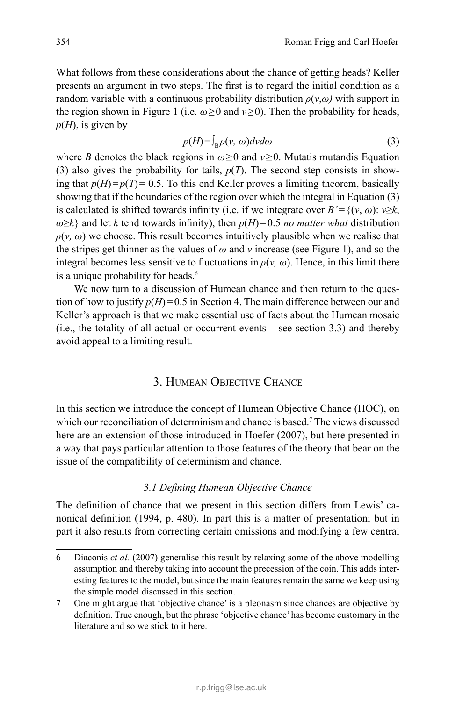What follows from these considerations about the chance of getting heads? Keller presents an argument in two steps. The first is to regard the initial condition as a random variable with a continuous probability distribution  $\rho(\nu,\omega)$  with support in the region shown in Figure 1 (i.e.  $\omega \ge 0$  and  $\nu \ge 0$ ). Then the probability for heads,  $p(H)$ , is given by

$$
p(H) = \int_{B} \rho(v, \omega) dv d\omega \tag{3}
$$

where *B* denotes the black regions in  $\omega \ge 0$  and  $\nu \ge 0$ . Mutatis mutandis Equation (3) also gives the probability for tails,  $p(T)$ . The second step consists in showing that  $p(H)=p(T)=0.5$ . To this end Keller proves a limiting theorem, basically showing that if the boundaries of the region over which the integral in Equation (3) is calculated is shifted towards infinity (i.e. if we integrate over  $B' = \{(v, \omega): v \ge k\}$ ,  $\omega \ge k$  and let *k* tend towards infinity), then  $p(H) = 0.5$  *no matter what* distribution  $\rho$ (*v*,  $\omega$ ) we choose. This result becomes intuitively plausible when we realise that the stripes get thinner as the values of *ω* and *ν* increase (see Figure 1), and so the integral becomes less sensitive to fluctuations in  $\rho$ (*v, ω*). Hence, in this limit there is a unique probability for heads.<sup>6</sup>

 We now turn to a discussion of Humean chance and then return to the question of how to justify  $p(H) = 0.5$  in Section 4. The main difference between our and Keller's approach is that we make essential use of facts about the Humean mosaic (i.e., the totality of all actual or occurrent events – see section 3.3) and thereby avoid appeal to a limiting result.

## **3. HUMEAN OBJECTIVE CHANCE**

In this section we introduce the concept of Humean Objective Chance (HOC), on which our reconciliation of determinism and chance is based.<sup>7</sup> The views discussed here are an extension of those introduced in Hoefer (2007), but here presented in a way that pays particular attention to those features of the theory that bear on the issue of the compatibility of determinism and chance.

### *3.1 Defi ning Humean Objective Chance*

The definition of chance that we present in this section differs from Lewis' canonical definition (1994, p. 480). In part this is a matter of presentation; but in part it also results from correcting certain omissions and modifying a few central

<sup>6</sup> Diaconis *et al.* (2007) generalise this result by relaxing some of the above modelling assumption and thereby taking into account the precession of the coin. This adds interesting features to the model, but since the main features remain the same we keep using the simple model discussed in this section.

<sup>7</sup> One might argue that 'objective chance' is a pleonasm since chances are objective by definition. True enough, but the phrase 'objective chance' has become customary in the literature and so we stick to it here.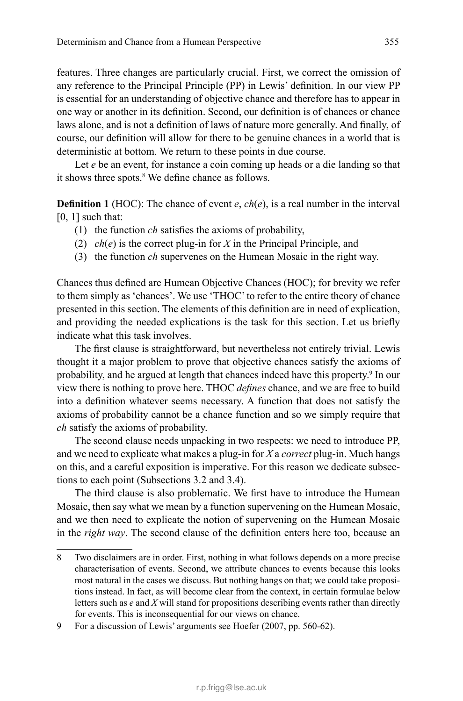features. Three changes are particularly crucial. First, we correct the omission of any reference to the Principal Principle (PP) in Lewis' definition. In our view PP is essential for an understanding of objective chance and therefore has to appear in one way or another in its definition. Second, our definition is of chances or chance laws alone, and is not a definition of laws of nature more generally. And finally, of course, our definition will allow for there to be genuine chances in a world that is deterministic at bottom. We return to these points in due course.

Let *e* be an event, for instance a coin coming up heads or a die landing so that it shows three spots.<sup>8</sup> We define chance as follows.

**Definition 1** (HOC): The chance of event  $e$ ,  $ch(e)$ , is a real number in the interval  $[0, 1]$  such that:

- (1) the function  $ch$  satisfies the axioms of probability,
- (2) *ch*(*e*) is the correct plug-in for *X* in the Principal Principle, and
- (3) the function *ch* supervenes on the Humean Mosaic in the right way.

Chances thus defined are Humean Objective Chances (HOC); for brevity we refer to them simply as 'chances'. We use 'THOC' to refer to the entire theory of chance presented in this section. The elements of this definition are in need of explication, and providing the needed explications is the task for this section. Let us briefly indicate what this task involves.

The first clause is straightforward, but nevertheless not entirely trivial. Lewis thought it a major problem to prove that objective chances satisfy the axioms of probability, and he argued at length that chances indeed have this property.9 In our view there is nothing to prove here. THOC *defines* chance, and we are free to build into a definition whatever seems necessary. A function that does not satisfy the axioms of probability cannot be a chance function and so we simply require that *ch* satisfy the axioms of probability.

 The second clause needs unpacking in two respects: we need to introduce PP, and we need to explicate what makes a plug-in for *X* a *correct* plug-in. Much hangs on this, and a careful exposition is imperative. For this reason we dedicate subsections to each point (Subsections 3.2 and 3.4).

The third clause is also problematic. We first have to introduce the Humean Mosaic, then say what we mean by a function supervening on the Humean Mosaic, and we then need to explicate the notion of supervening on the Humean Mosaic in the *right way*. The second clause of the definition enters here too, because an

<sup>8</sup> Two disclaimers are in order. First, nothing in what follows depends on a more precise characterisation of events. Second, we attribute chances to events because this looks most natural in the cases we discuss. But nothing hangs on that; we could take propositions instead. In fact, as will become clear from the context, in certain formulae below letters such as *e* and *X* will stand for propositions describing events rather than directly for events. This is inconsequential for our views on chance.

<sup>9</sup> For a discussion of Lewis' arguments see Hoefer (2007, pp. 560-62).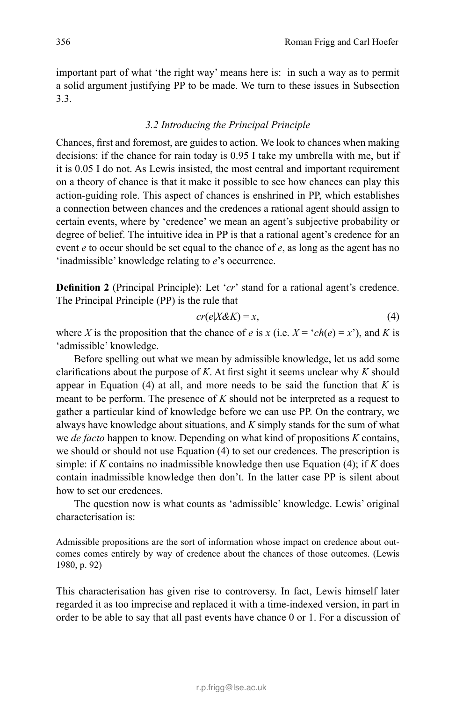important part of what 'the right way' means here is: in such a way as to permit a solid argument justifying PP to be made. We turn to these issues in Subsection 3.3.

### *3.2 Introducing the Principal Principle*

Chances, first and foremost, are guides to action. We look to chances when making decisions: if the chance for rain today is 0.95 I take my umbrella with me, but if it is 0.05 I do not. As Lewis insisted, the most central and important requirement on a theory of chance is that it make it possible to see how chances can play this action-guiding role. This aspect of chances is enshrined in PP, which establishes a connection between chances and the credences a rational agent should assign to certain events, where by 'credence' we mean an agent's subjective probability or degree of belief. The intuitive idea in PP is that a rational agent's credence for an event *e* to occur should be set equal to the chance of *e*, as long as the agent has no 'inadmissible' knowledge relating to *e*'s occurrence.

**Definition 2** (Principal Principle): Let '*cr*' stand for a rational agent's credence. The Principal Principle (PP) is the rule that

$$
cr(e|X \& K) = x,\tag{4}
$$

where *X* is the proposition that the chance of *e* is *x* (i.e.  $X = \text{ch}(e) = x'$ ), and *K* is 'admissible' knowledge.

 Before spelling out what we mean by admissible knowledge, let us add some clarifications about the purpose of  $K$ . At first sight it seems unclear why  $K$  should appear in Equation (4) at all, and more needs to be said the function that *K* is meant to be perform. The presence of *K* should not be interpreted as a request to gather a particular kind of knowledge before we can use PP. On the contrary, we always have knowledge about situations, and *K* simply stands for the sum of what we *de facto* happen to know. Depending on what kind of propositions *K* contains, we should or should not use Equation (4) to set our credences. The prescription is simple: if *K* contains no inadmissible knowledge then use Equation (4); if *K* does contain inadmissible knowledge then don't. In the latter case PP is silent about how to set our credences.

 The question now is what counts as 'admissible' knowledge. Lewis' original characterisation is:

Admissible propositions are the sort of information whose impact on credence about outcomes comes entirely by way of credence about the chances of those outcomes. (Lewis 1980, p. 92)

This characterisation has given rise to controversy. In fact, Lewis himself later regarded it as too imprecise and replaced it with a time-indexed version, in part in order to be able to say that all past events have chance 0 or 1. For a discussion of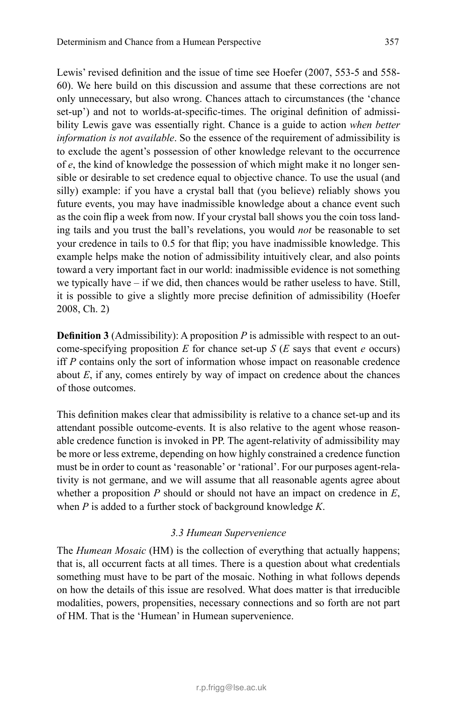Lewis' revised definition and the issue of time see Hoefer  $(2007, 553-5)$  and  $558-5$ 60). We here build on this discussion and assume that these corrections are not only unnecessary, but also wrong. Chances attach to circumstances (the 'chance set-up') and not to worlds-at-specific-times. The original definition of admissibility Lewis gave was essentially right. Chance is a guide to action *when better information is not available*. So the essence of the requirement of admissibility is to exclude the agent's possession of other knowledge relevant to the occurrence of *e*, the kind of knowledge the possession of which might make it no longer sensible or desirable to set credence equal to objective chance. To use the usual (and silly) example: if you have a crystal ball that (you believe) reliably shows you future events, you may have inadmissible knowledge about a chance event such as the coin flip a week from now. If your crystal ball shows you the coin toss landing tails and you trust the ball's revelations, you would *not* be reasonable to set your credence in tails to 0.5 for that flip; you have inadmissible knowledge. This example helps make the notion of admissibility intuitively clear, and also points toward a very important fact in our world: inadmissible evidence is not something we typically have – if we did, then chances would be rather useless to have. Still, it is possible to give a slightly more precise definition of admissibility (Hoefer 2008, Ch. 2)

**Definition 3** (Admissibility): A proposition P is admissible with respect to an outcome-specifying proposition *E* for chance set-up *S* (*E* says that event *e* occurs) iff *P* contains only the sort of information whose impact on reasonable credence about *E*, if any, comes entirely by way of impact on credence about the chances of those outcomes.

This definition makes clear that admissibility is relative to a chance set-up and its attendant possible outcome-events. It is also relative to the agent whose reasonable credence function is invoked in PP. The agent-relativity of admissibility may be more or less extreme, depending on how highly constrained a credence function must be in order to count as 'reasonable' or 'rational'. For our purposes agent-relativity is not germane, and we will assume that all reasonable agents agree about whether a proposition *P* should or should not have an impact on credence in *E*, when *P* is added to a further stock of background knowledge *K*.

### *3.3 Humean Supervenience*

The *Humean Mosaic* (HM) is the collection of everything that actually happens; that is, all occurrent facts at all times. There is a question about what credentials something must have to be part of the mosaic. Nothing in what follows depends on how the details of this issue are resolved. What does matter is that irreducible modalities, powers, propensities, necessary connections and so forth are not part of HM. That is the 'Humean' in Humean supervenience.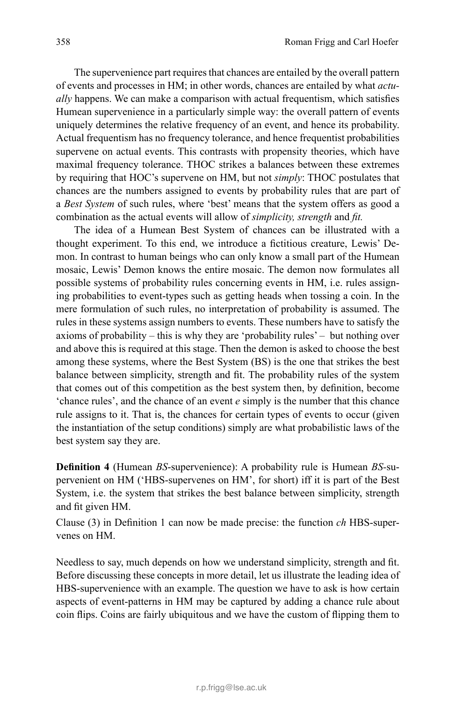The supervenience part requires that chances are entailed by the overall pattern of events and processes in HM; in other words, chances are entailed by what *actually* happens. We can make a comparison with actual frequentism, which satisfies Humean supervenience in a particularly simple way: the overall pattern of events uniquely determines the relative frequency of an event, and hence its probability. Actual frequentism has no frequency tolerance, and hence frequentist probabilities supervene on actual events. This contrasts with propensity theories, which have maximal frequency tolerance. THOC strikes a balances between these extremes by requiring that HOC's supervene on HM, but not *simply*: THOC postulates that chances are the numbers assigned to events by probability rules that are part of a *Best System* of such rules, where 'best' means that the system offers as good a combination as the actual events will allow of *simplicity, strength* and *fit.* 

 The idea of a Humean Best System of chances can be illustrated with a thought experiment. To this end, we introduce a fictitious creature, Lewis' Demon. In contrast to human beings who can only know a small part of the Humean mosaic, Lewis' Demon knows the entire mosaic. The demon now formulates all possible systems of probability rules concerning events in HM, i.e. rules assigning probabilities to event-types such as getting heads when tossing a coin. In the mere formulation of such rules, no interpretation of probability is assumed. The rules in these systems assign numbers to events. These numbers have to satisfy the axioms of probability – this is why they are 'probability rules' – but nothing over and above this is required at this stage. Then the demon is asked to choose the best among these systems, where the Best System (BS) is the one that strikes the best balance between simplicity, strength and fit. The probability rules of the system that comes out of this competition as the best system then, by definition, become 'chance rules', and the chance of an event *e* simply is the number that this chance rule assigns to it. That is, the chances for certain types of events to occur (given the instantiation of the setup conditions) simply are what probabilistic laws of the best system say they are.

**Definition 4** (Humean *BS*-supervenience): A probability rule is Humean *BS*-supervenient on HM ('HBS-supervenes on HM', for short) iff it is part of the Best System, i.e. the system that strikes the best balance between simplicity, strength and fit given HM.

Clause (3) in Definition 1 can now be made precise: the function *ch* HBS-supervenes on HM.

Needless to say, much depends on how we understand simplicity, strength and fit. Before discussing these concepts in more detail, let us illustrate the leading idea of HBS-supervenience with an example. The question we have to ask is how certain aspects of event-patterns in HM may be captured by adding a chance rule about coin flips. Coins are fairly ubiquitous and we have the custom of flipping them to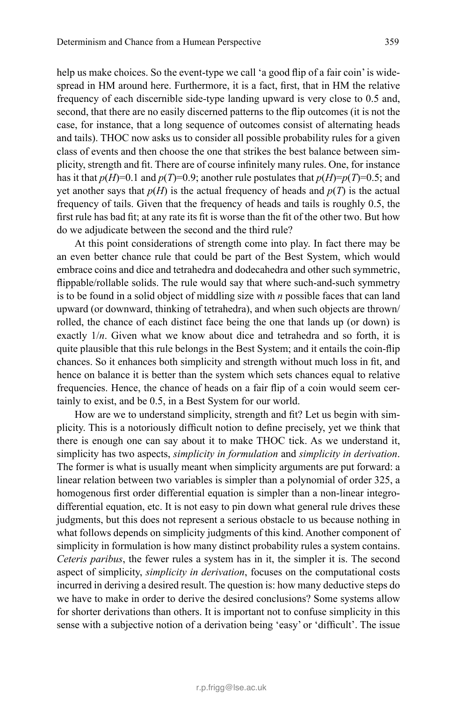help us make choices. So the event-type we call 'a good flip of a fair coin' is widespread in HM around here. Furthermore, it is a fact, first, that in HM the relative frequency of each discernible side-type landing upward is very close to 0.5 and, second, that there are no easily discerned patterns to the flip outcomes (it is not the case, for instance, that a long sequence of outcomes consist of alternating heads and tails). THOC now asks us to consider all possible probability rules for a given class of events and then choose the one that strikes the best balance between simplicity, strength and fit. There are of course infinitely many rules. One, for instance has it that  $p(H)=0.1$  and  $p(T)=0.9$ ; another rule postulates that  $p(H)=p(T)=0.5$ ; and yet another says that  $p(H)$  is the actual frequency of heads and  $p(T)$  is the actual frequency of tails. Given that the frequency of heads and tails is roughly 0.5, the first rule has bad fit; at any rate its fit is worse than the fit of the other two. But how do we adjudicate between the second and the third rule?

 At this point considerations of strength come into play. In fact there may be an even better chance rule that could be part of the Best System, which would embrace coins and dice and tetrahedra and dodecahedra and other such symmetric, flippable/rollable solids. The rule would say that where such-and-such symmetry is to be found in a solid object of middling size with *n* possible faces that can land upward (or downward, thinking of tetrahedra), and when such objects are thrown/ rolled, the chance of each distinct face being the one that lands up (or down) is exactly  $1/n$ . Given what we know about dice and tetrahedra and so forth, it is quite plausible that this rule belongs in the Best System; and it entails the coin-flip chances. So it enhances both simplicity and strength without much loss in fit, and hence on balance it is better than the system which sets chances equal to relative frequencies. Hence, the chance of heads on a fair flip of a coin would seem certainly to exist, and be 0.5, in a Best System for our world.

How are we to understand simplicity, strength and fit? Let us begin with simplicity. This is a notoriously difficult notion to define precisely, yet we think that there is enough one can say about it to make THOC tick. As we understand it, simplicity has two aspects, *simplicity in formulation* and *simplicity in derivation*. The former is what is usually meant when simplicity arguments are put forward: a linear relation between two variables is simpler than a polynomial of order 325, a homogenous first order differential equation is simpler than a non-linear integrodifferential equation, etc. It is not easy to pin down what general rule drives these judgments, but this does not represent a serious obstacle to us because nothing in what follows depends on simplicity judgments of this kind. Another component of simplicity in formulation is how many distinct probability rules a system contains. *Ceteris paribus*, the fewer rules a system has in it, the simpler it is. The second aspect of simplicity, *simplicity in derivation*, focuses on the computational costs incurred in deriving a desired result. The question is: how many deductive steps do we have to make in order to derive the desired conclusions? Some systems allow for shorter derivations than others. It is important not to confuse simplicity in this sense with a subjective notion of a derivation being 'easy' or 'difficult'. The issue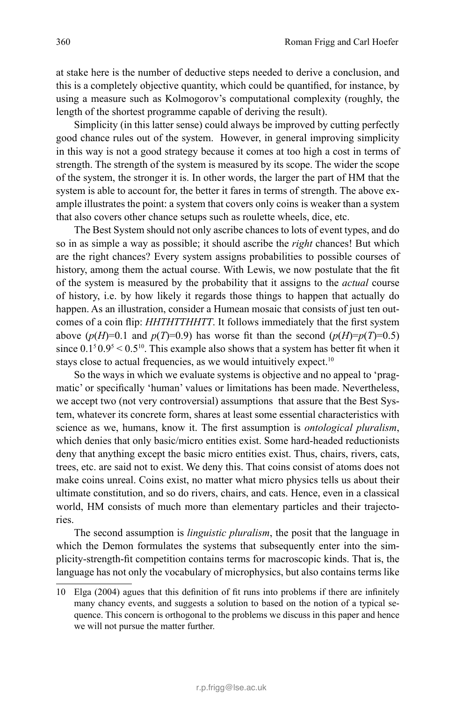at stake here is the number of deductive steps needed to derive a conclusion, and this is a completely objective quantity, which could be quantified, for instance, by using a measure such as Kolmogorov's computational complexity (roughly, the length of the shortest programme capable of deriving the result).

 Simplicity (in this latter sense) could always be improved by cutting perfectly good chance rules out of the system. However, in general improving simplicity in this way is not a good strategy because it comes at too high a cost in terms of strength. The strength of the system is measured by its scope. The wider the scope of the system, the stronger it is. In other words, the larger the part of HM that the system is able to account for, the better it fares in terms of strength. The above example illustrates the point: a system that covers only coins is weaker than a system that also covers other chance setups such as roulette wheels, dice, etc.

 The Best System should not only ascribe chances to lots of event types, and do so in as simple a way as possible; it should ascribe the *right* chances! But which are the right chances? Every system assigns probabilities to possible courses of history, among them the actual course. With Lewis, we now postulate that the fit of the system is measured by the probability that it assigns to the *actual* course of history, i.e. by how likely it regards those things to happen that actually do happen. As an illustration, consider a Humean mosaic that consists of just ten outcomes of a coin flip: *HHTHTTHHTT*. It follows immediately that the first system above  $(p(H)=0.1$  and  $p(T)=0.9$ ) has worse fit than the second  $(p(H)=p(T)=0.5)$ since  $0.1<sup>5</sup>0.9<sup>5</sup> < 0.5<sup>10</sup>$ . This example also shows that a system has better fit when it stays close to actual frequencies, as we would intuitively expect.<sup>10</sup>

 So the ways in which we evaluate systems is objective and no appeal to 'pragmatic' or specifically 'human' values or limitations has been made. Nevertheless, we accept two (not very controversial) assumptions that assure that the Best System, whatever its concrete form, shares at least some essential characteristics with science as we, humans, know it. The first assumption is *ontological pluralism*, which denies that only basic/micro entities exist. Some hard-headed reductionists deny that anything except the basic micro entities exist. Thus, chairs, rivers, cats, trees, etc. are said not to exist. We deny this. That coins consist of atoms does not make coins unreal. Coins exist, no matter what micro physics tells us about their ultimate constitution, and so do rivers, chairs, and cats. Hence, even in a classical world, HM consists of much more than elementary particles and their trajectories.

 The second assumption is *linguistic pluralism*, the posit that the language in which the Demon formulates the systems that subsequently enter into the simplicity-strength-fi t competition contains terms for macroscopic kinds. That is, the language has not only the vocabulary of microphysics, but also contains terms like

<sup>10</sup> Elga (2004) agues that this definition of fit runs into problems if there are infinitely many chancy events, and suggests a solution to based on the notion of a typical sequence. This concern is orthogonal to the problems we discuss in this paper and hence we will not pursue the matter further.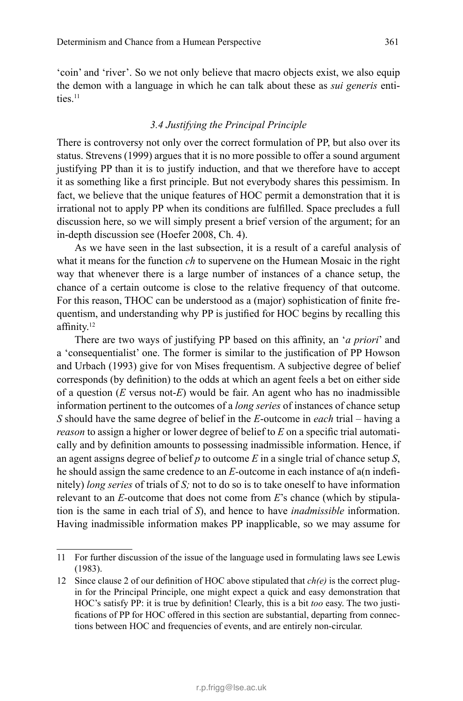'coin' and 'river'. So we not only believe that macro objects exist, we also equip the demon with a language in which he can talk about these as *sui generis* entities.<sup>11</sup>

#### *3.4 Justifying the Principal Principle*

There is controversy not only over the correct formulation of PP, but also over its status. Strevens (1999) argues that it is no more possible to offer a sound argument justifying PP than it is to justify induction, and that we therefore have to accept it as something like a first principle. But not everybody shares this pessimism. In fact, we believe that the unique features of HOC permit a demonstration that it is irrational not to apply PP when its conditions are fulfi lled. Space precludes a full discussion here, so we will simply present a brief version of the argument; for an in-depth discussion see (Hoefer 2008, Ch. 4).

 As we have seen in the last subsection, it is a result of a careful analysis of what it means for the function *ch* to supervene on the Humean Mosaic in the right way that whenever there is a large number of instances of a chance setup, the chance of a certain outcome is close to the relative frequency of that outcome. For this reason, THOC can be understood as a (major) sophistication of finite frequentism, and understanding why PP is justified for HOC begins by recalling this affinity.<sup>12</sup>

There are two ways of justifying PP based on this affinity, an '*a priori*' and a 'consequentialist' one. The former is similar to the justification of PP Howson and Urbach (1993) give for von Mises frequentism. A subjective degree of belief corresponds (by definition) to the odds at which an agent feels a bet on either side of a question (*E* versus not-*E*) would be fair. An agent who has no inadmissible information pertinent to the outcomes of a *long series* of instances of chance setup *S* should have the same degree of belief in the *E*-outcome in *each* trial – having a *reason* to assign a higher or lower degree of belief to *E* on a specific trial automatically and by definition amounts to possessing inadmissible information. Hence, if an agent assigns degree of belief *p* to outcome *E* in a single trial of chance setup *S*, he should assign the same credence to an *E*-outcome in each instance of a(n indefinitely) *long series* of trials of *S;* not to do so is to take oneself to have information relevant to an *E-*outcome that does not come from *E*'s chance (which by stipulation is the same in each trial of *S*), and hence to have *inadmissible* information. Having inadmissible information makes PP inapplicable, so we may assume for

<sup>11</sup> For further discussion of the issue of the language used in formulating laws see Lewis (1983).

<sup>12</sup> Since clause 2 of our definition of HOC above stipulated that *ch(e)* is the correct plugin for the Principal Principle, one might expect a quick and easy demonstration that HOC's satisfy PP: it is true by definition! Clearly, this is a bit *too* easy. The two justifications of PP for HOC offered in this section are substantial, departing from connections between HOC and frequencies of events, and are entirely non-circular.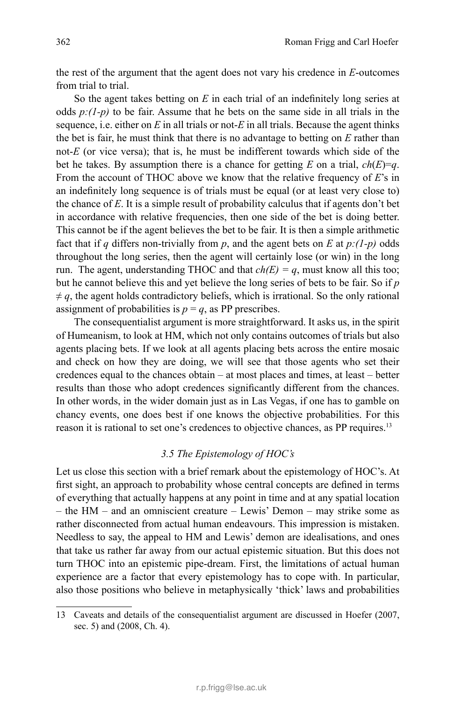the rest of the argument that the agent does not vary his credence in *E*-outcomes from trial to trial.

So the agent takes betting on  $E$  in each trial of an indefinitely long series at odds *p:(1-p)* to be fair. Assume that he bets on the same side in all trials in the sequence, i.e. either on  $E$  in all trials or not- $E$  in all trials. Because the agent thinks the bet is fair, he must think that there is no advantage to betting on *E* rather than not-*E* (or vice versa); that is, he must be indifferent towards which side of the bet he takes. By assumption there is a chance for getting *E* on a trial,  $ch(E)=q$ . From the account of THOC above we know that the relative frequency of *E*'s in an indefinitely long sequence is of trials must be equal (or at least very close to) the chance of *E*. It is a simple result of probability calculus that if agents don't bet in accordance with relative frequencies, then one side of the bet is doing better. This cannot be if the agent believes the bet to be fair. It is then a simple arithmetic fact that if *q* differs non-trivially from *p*, and the agent bets on *E* at  $p:(1-p)$  odds throughout the long series, then the agent will certainly lose (or win) in the long run. The agent, understanding THOC and that  $ch(E) = q$ , must know all this too; but he cannot believe this and yet believe the long series of bets to be fair. So if *p*  $\neq q$ , the agent holds contradictory beliefs, which is irrational. So the only rational assignment of probabilities is  $p = q$ , as PP prescribes.

 The consequentialist argument is more straightforward. It asks us, in the spirit of Humeanism, to look at HM, which not only contains outcomes of trials but also agents placing bets. If we look at all agents placing bets across the entire mosaic and check on how they are doing, we will see that those agents who set their credences equal to the chances obtain – at most places and times, at least – better results than those who adopt credences significantly different from the chances. In other words, in the wider domain just as in Las Vegas, if one has to gamble on chancy events, one does best if one knows the objective probabilities. For this reason it is rational to set one's credences to objective chances, as PP requires.13

### *3.5 The Epistemology of HOC's*

Let us close this section with a brief remark about the epistemology of HOC's. At first sight, an approach to probability whose central concepts are defined in terms of everything that actually happens at any point in time and at any spatial location – the HM – and an omniscient creature – Lewis' Demon – may strike some as rather disconnected from actual human endeavours. This impression is mistaken. Needless to say, the appeal to HM and Lewis' demon are idealisations, and ones that take us rather far away from our actual epistemic situation. But this does not turn THOC into an epistemic pipe-dream. First, the limitations of actual human experience are a factor that every epistemology has to cope with. In particular, also those positions who believe in metaphysically 'thick' laws and probabilities

<sup>13</sup> Caveats and details of the consequentialist argument are discussed in Hoefer (2007, sec. 5) and (2008, Ch. 4).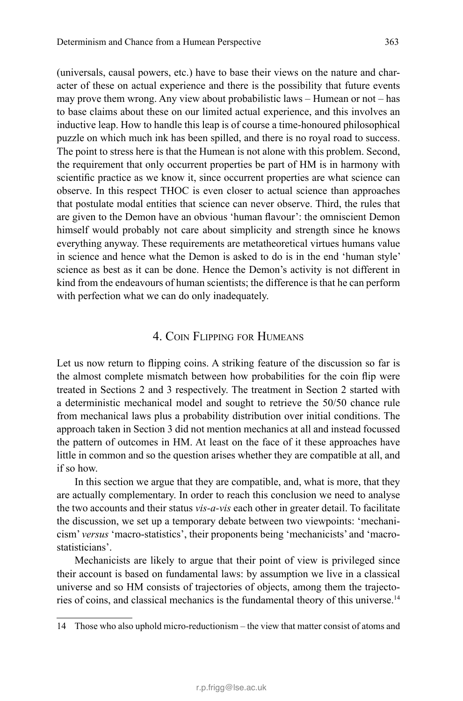(universals, causal powers, etc.) have to base their views on the nature and character of these on actual experience and there is the possibility that future events may prove them wrong. Any view about probabilistic laws – Humean or not – has to base claims about these on our limited actual experience, and this involves an inductive leap. How to handle this leap is of course a time-honoured philosophical puzzle on which much ink has been spilled, and there is no royal road to success. The point to stress here is that the Humean is not alone with this problem. Second, the requirement that only occurrent properties be part of HM is in harmony with scientific practice as we know it, since occurrent properties are what science can observe. In this respect THOC is even closer to actual science than approaches that postulate modal entities that science can never observe. Third, the rules that are given to the Demon have an obvious 'human flavour': the omniscient Demon himself would probably not care about simplicity and strength since he knows everything anyway. These requirements are metatheoretical virtues humans value in science and hence what the Demon is asked to do is in the end 'human style' science as best as it can be done. Hence the Demon's activity is not different in kind from the endeavours of human scientists; the difference is that he can perform with perfection what we can do only inadequately.

### 4. COIN FLIPPING FOR HUMEANS

Let us now return to flipping coins. A striking feature of the discussion so far is the almost complete mismatch between how probabilities for the coin flip were treated in Sections 2 and 3 respectively. The treatment in Section 2 started with a deterministic mechanical model and sought to retrieve the 50/50 chance rule from mechanical laws plus a probability distribution over initial conditions. The approach taken in Section 3 did not mention mechanics at all and instead focussed the pattern of outcomes in HM. At least on the face of it these approaches have little in common and so the question arises whether they are compatible at all, and if so how.

 In this section we argue that they are compatible, and, what is more, that they are actually complementary. In order to reach this conclusion we need to analyse the two accounts and their status *vis-a-vis* each other in greater detail. To facilitate the discussion, we set up a temporary debate between two viewpoints: 'mechanicism' *versus* 'macro-statistics', their proponents being 'mechanicists' and 'macrostatisticians'.

 Mechanicists are likely to argue that their point of view is privileged since their account is based on fundamental laws: by assumption we live in a classical universe and so HM consists of trajectories of objects, among them the trajectories of coins, and classical mechanics is the fundamental theory of this universe.14

<sup>14</sup> Those who also uphold micro-reductionism – the view that matter consist of atoms and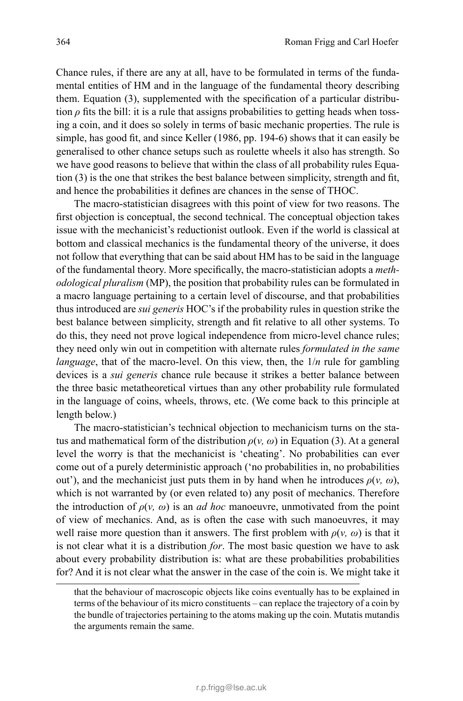Chance rules, if there are any at all, have to be formulated in terms of the fundamental entities of HM and in the language of the fundamental theory describing them. Equation  $(3)$ , supplemented with the specification of a particular distribution  $\rho$  fits the bill: it is a rule that assigns probabilities to getting heads when tossing a coin, and it does so solely in terms of basic mechanic properties. The rule is simple, has good fit, and since Keller (1986, pp. 194-6) shows that it can easily be generalised to other chance setups such as roulette wheels it also has strength. So we have good reasons to believe that within the class of all probability rules Equation  $(3)$  is the one that strikes the best balance between simplicity, strength and fit, and hence the probabilities it defines are chances in the sense of THOC.

 The macro-statistician disagrees with this point of view for two reasons. The first objection is conceptual, the second technical. The conceptual objection takes issue with the mechanicist's reductionist outlook. Even if the world is classical at bottom and classical mechanics is the fundamental theory of the universe, it does not follow that everything that can be said about HM has to be said in the language of the fundamental theory. More specifically, the macro-statistician adopts a *methodological pluralism* (MP), the position that probability rules can be formulated in a macro language pertaining to a certain level of discourse, and that probabilities thus introduced are *sui generis* HOC's if the probability rules in question strike the best balance between simplicity, strength and fit relative to all other systems. To do this, they need not prove logical independence from micro-level chance rules; they need only win out in competition with alternate rules *formulated in the same language*, that of the macro-level. On this view, then, the 1/*n* rule for gambling devices is a *sui generis* chance rule because it strikes a better balance between the three basic metatheoretical virtues than any other probability rule formulated in the language of coins, wheels, throws, etc. (We come back to this principle at length below.)

 The macro-statistician's technical objection to mechanicism turns on the status and mathematical form of the distribution  $\rho$ (*v, ω*) in Equation (3). At a general level the worry is that the mechanicist is 'cheating'. No probabilities can ever come out of a purely deterministic approach ('no probabilities in, no probabilities out'), and the mechanicist just puts them in by hand when he introduces *ρ*(*ν, ω*), which is not warranted by (or even related to) any posit of mechanics. Therefore the introduction of  $\rho$ (*v*,  $\omega$ ) is an *ad hoc* manoeuvre, unmotivated from the point of view of mechanics. And, as is often the case with such manoeuvres, it may well raise more question than it answers. The first problem with  $\rho$ (*v, ω*) is that it is not clear what it is a distribution *for*. The most basic question we have to ask about every probability distribution is: what are these probabilities probabilities for? And it is not clear what the answer in the case of the coin is. We might take it

that the behaviour of macroscopic objects like coins eventually has to be explained in terms of the behaviour of its micro constituents – can replace the trajectory of a coin by the bundle of trajectories pertaining to the atoms making up the coin. Mutatis mutandis the arguments remain the same.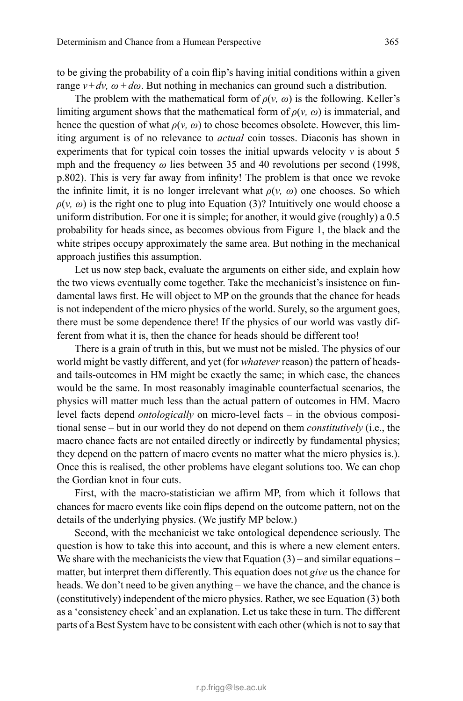to be giving the probability of a coin flip's having initial conditions within a given range *ν*+ *dν*,  $ω + dω$ . But nothing in mechanics can ground such a distribution.

The problem with the mathematical form of  $\rho$ (*ν*,  $\omega$ ) is the following. Keller's limiting argument shows that the mathematical form of  $\rho(\nu, \omega)$  is immaterial, and hence the question of what  $\rho$ (*v*,  $\omega$ ) to chose becomes obsolete. However, this limiting argument is of no relevance to *actual* coin tosses. Diaconis has shown in experiments that for typical coin tosses the initial upwards velocity  $\nu$  is about 5 mph and the frequency *ω* lies between 35 and 40 revolutions per second (1998, p.802). This is very far away from infinity! The problem is that once we revoke the infinite limit, it is no longer irrelevant what  $\rho$ (*v, ω*) one chooses. So which  $\rho$ (*v*,  $\omega$ ) is the right one to plug into Equation (3)? Intuitively one would choose a uniform distribution. For one it is simple; for another, it would give (roughly) a 0.5 probability for heads since, as becomes obvious from Figure 1, the black and the white stripes occupy approximately the same area. But nothing in the mechanical approach justifies this assumption.

 Let us now step back, evaluate the arguments on either side, and explain how the two views eventually come together. Take the mechanicist's insistence on fundamental laws first. He will object to MP on the grounds that the chance for heads is not independent of the micro physics of the world. Surely, so the argument goes, there must be some dependence there! If the physics of our world was vastly different from what it is, then the chance for heads should be different too!

 There is a grain of truth in this, but we must not be misled. The physics of our world might be vastly different, and yet (for *whatever* reason) the pattern of headsand tails-outcomes in HM might be exactly the same; in which case, the chances would be the same. In most reasonably imaginable counterfactual scenarios, the physics will matter much less than the actual pattern of outcomes in HM. Macro level facts depend *ontologically* on micro-level facts – in the obvious compositional sense – but in our world they do not depend on them *constitutively* (i.e., the macro chance facts are not entailed directly or indirectly by fundamental physics; they depend on the pattern of macro events no matter what the micro physics is.). Once this is realised, the other problems have elegant solutions too. We can chop the Gordian knot in four cuts.

First, with the macro-statistician we affirm MP, from which it follows that chances for macro events like coin flips depend on the outcome pattern, not on the details of the underlying physics. (We justify MP below.)

 Second, with the mechanicist we take ontological dependence seriously. The question is how to take this into account, and this is where a new element enters. We share with the mechanicists the view that Equation  $(3)$  – and similar equations – matter, but interpret them differently. This equation does not *give* us the chance for heads. We don't need to be given anything – we have the chance, and the chance is (constitutively) independent of the micro physics. Rather, we see Equation (3) both as a 'consistency check' and an explanation. Let us take these in turn. The different parts of a Best System have to be consistent with each other (which is not to say that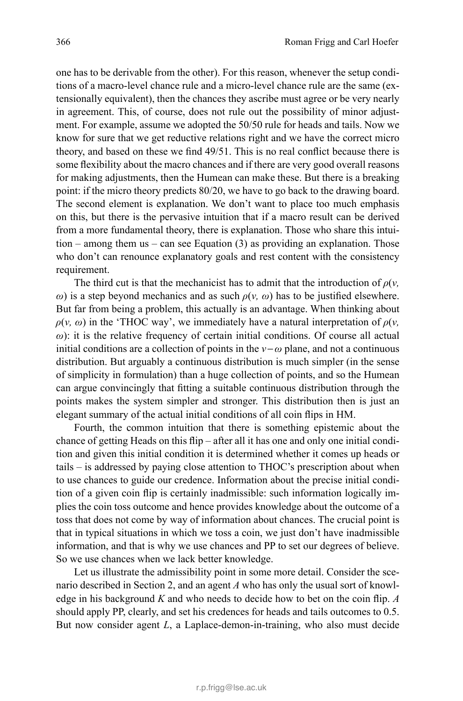one has to be derivable from the other). For this reason, whenever the setup conditions of a macro-level chance rule and a micro-level chance rule are the same (extensionally equivalent), then the chances they ascribe must agree or be very nearly in agreement. This, of course, does not rule out the possibility of minor adjustment. For example, assume we adopted the 50/50 rule for heads and tails. Now we know for sure that we get reductive relations right and we have the correct micro theory, and based on these we find  $49/51$ . This is no real conflict because there is some flexibility about the macro chances and if there are very good overall reasons for making adjustments, then the Humean can make these. But there is a breaking point: if the micro theory predicts 80/20, we have to go back to the drawing board. The second element is explanation. We don't want to place too much emphasis on this, but there is the pervasive intuition that if a macro result can be derived from a more fundamental theory, there is explanation. Those who share this intuition – among them us – can see Equation  $(3)$  as providing an explanation. Those who don't can renounce explanatory goals and rest content with the consistency requirement.

The third cut is that the mechanicist has to admit that the introduction of  $\rho(\nu)$ , *ω*) is a step beyond mechanics and as such  $ρ(v, ω)$  has to be justified elsewhere. But far from being a problem, this actually is an advantage. When thinking about  $\rho$ (*ν*,  $\omega$ ) in the 'THOC way', we immediately have a natural interpretation of  $\rho$ (*ν*, *ω*): it is the relative frequency of certain initial conditions. Of course all actual initial conditions are a collection of points in the *v*−*ω* plane, and not a continuous distribution. But arguably a continuous distribution is much simpler (in the sense of simplicity in formulation) than a huge collection of points, and so the Humean can argue convincingly that fitting a suitable continuous distribution through the points makes the system simpler and stronger. This distribution then is just an elegant summary of the actual initial conditions of all coin flips in HM.

 Fourth, the common intuition that there is something epistemic about the chance of getting Heads on this flip – after all it has one and only one initial condition and given this initial condition it is determined whether it comes up heads or tails – is addressed by paying close attention to THOC's prescription about when to use chances to guide our credence. Information about the precise initial condition of a given coin flip is certainly inadmissible: such information logically implies the coin toss outcome and hence provides knowledge about the outcome of a toss that does not come by way of information about chances. The crucial point is that in typical situations in which we toss a coin, we just don't have inadmissible information, and that is why we use chances and PP to set our degrees of believe. So we use chances when we lack better knowledge.

 Let us illustrate the admissibility point in some more detail. Consider the scenario described in Section 2, and an agent *A* who has only the usual sort of knowledge in his background  $K$  and who needs to decide how to bet on the coin flip.  $A$ should apply PP, clearly, and set his credences for heads and tails outcomes to 0.5. But now consider agent *L*, a Laplace-demon-in-training, who also must decide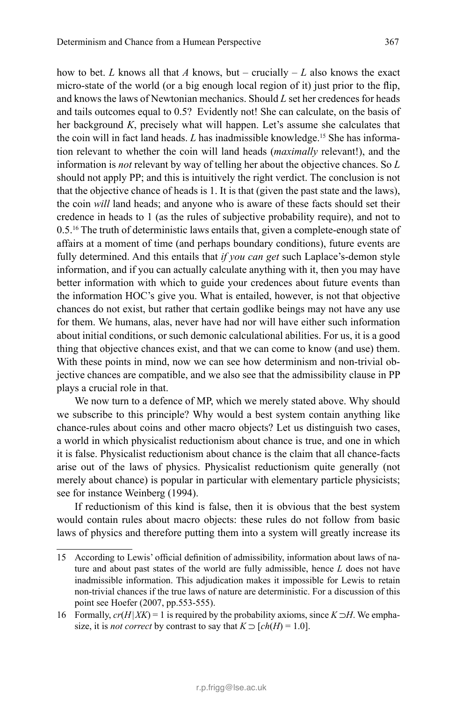how to bet. *L* knows all that *A* knows, but – crucially – *L* also knows the exact micro-state of the world (or a big enough local region of it) just prior to the flip, and knows the laws of Newtonian mechanics. Should *L* set her credences for heads and tails outcomes equal to 0.5? Evidently not! She can calculate, on the basis of her background *K*, precisely what will happen. Let's assume she calculates that the coin will in fact land heads. *L* has inadmissible knowledge.15 She has information relevant to whether the coin will land heads (*maximally* relevant!), and the information is *not* relevant by way of telling her about the objective chances. So *L* should not apply PP; and this is intuitively the right verdict. The conclusion is not that the objective chance of heads is 1. It is that (given the past state and the laws), the coin *will* land heads; and anyone who is aware of these facts should set their credence in heads to 1 (as the rules of subjective probability require), and not to 0.5.16 The truth of deterministic laws entails that, given a complete-enough state of affairs at a moment of time (and perhaps boundary conditions), future events are fully determined. And this entails that *if you can get* such Laplace's-demon style information, and if you can actually calculate anything with it, then you may have better information with which to guide your credences about future events than the information HOC's give you. What is entailed, however, is not that objective chances do not exist, but rather that certain godlike beings may not have any use for them. We humans, alas, never have had nor will have either such information about initial conditions, or such demonic calculational abilities. For us, it is a good thing that objective chances exist, and that we can come to know (and use) them. With these points in mind, now we can see how determinism and non-trivial objective chances are compatible, and we also see that the admissibility clause in PP plays a crucial role in that.

 We now turn to a defence of MP, which we merely stated above. Why should we subscribe to this principle? Why would a best system contain anything like chance-rules about coins and other macro objects? Let us distinguish two cases, a world in which physicalist reductionism about chance is true, and one in which it is false. Physicalist reductionism about chance is the claim that all chance-facts arise out of the laws of physics. Physicalist reductionism quite generally (not merely about chance) is popular in particular with elementary particle physicists; see for instance Weinberg (1994).

 If reductionism of this kind is false, then it is obvious that the best system would contain rules about macro objects: these rules do not follow from basic laws of physics and therefore putting them into a system will greatly increase its

<sup>15</sup> According to Lewis' official definition of admissibility, information about laws of nature and about past states of the world are fully admissible, hence *L* does not have inadmissible information. This adjudication makes it impossible for Lewis to retain non-trivial chances if the true laws of nature are deterministic. For a discussion of this point see Hoefer (2007, pp.553-555).

<sup>16</sup> Formally,  $cr(H|XX) = 1$  is required by the probability axioms, since  $K \supset H$ . We emphasize, it is *not correct* by contrast to say that  $K \supset [ch(H) = 1.0]$ .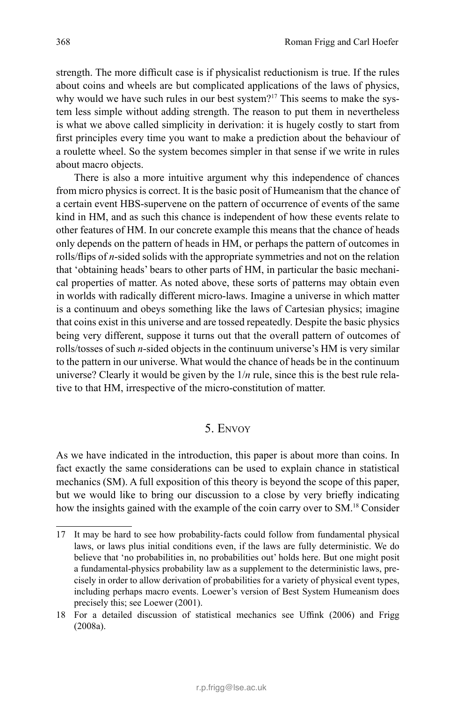strength. The more difficult case is if physicalist reductionism is true. If the rules about coins and wheels are but complicated applications of the laws of physics, why would we have such rules in our best system?<sup>17</sup> This seems to make the system less simple without adding strength. The reason to put them in nevertheless is what we above called simplicity in derivation: it is hugely costly to start from first principles every time you want to make a prediction about the behaviour of a roulette wheel. So the system becomes simpler in that sense if we write in rules about macro objects.

 There is also a more intuitive argument why this independence of chances from micro physics is correct. It is the basic posit of Humeanism that the chance of a certain event HBS-supervene on the pattern of occurrence of events of the same kind in HM, and as such this chance is independent of how these events relate to other features of HM. In our concrete example this means that the chance of heads only depends on the pattern of heads in HM, or perhaps the pattern of outcomes in rolls/flips of *n*-sided solids with the appropriate symmetries and not on the relation that 'obtaining heads' bears to other parts of HM, in particular the basic mechanical properties of matter. As noted above, these sorts of patterns may obtain even in worlds with radically different micro-laws. Imagine a universe in which matter is a continuum and obeys something like the laws of Cartesian physics; imagine that coins exist in this universe and are tossed repeatedly. Despite the basic physics being very different, suppose it turns out that the overall pattern of outcomes of rolls/tosses of such *n*-sided objects in the continuum universe's HM is very similar to the pattern in our universe. What would the chance of heads be in the continuum universe? Clearly it would be given by the 1/*n* rule, since this is the best rule relative to that HM, irrespective of the micro-constitution of matter.

## 5. ENVOY

As we have indicated in the introduction, this paper is about more than coins. In fact exactly the same considerations can be used to explain chance in statistical mechanics (SM). A full exposition of this theory is beyond the scope of this paper, but we would like to bring our discussion to a close by very briefly indicating how the insights gained with the example of the coin carry over to SM.<sup>18</sup> Consider

<sup>17</sup> It may be hard to see how probability-facts could follow from fundamental physical laws, or laws plus initial conditions even, if the laws are fully deterministic. We do believe that 'no probabilities in, no probabilities out' holds here. But one might posit a fundamental-physics probability law as a supplement to the deterministic laws, precisely in order to allow derivation of probabilities for a variety of physical event types, including perhaps macro events. Loewer's version of Best System Humeanism does precisely this; see Loewer (2001).

<sup>18</sup> For a detailed discussion of statistical mechanics see Uffink (2006) and Frigg (2008a).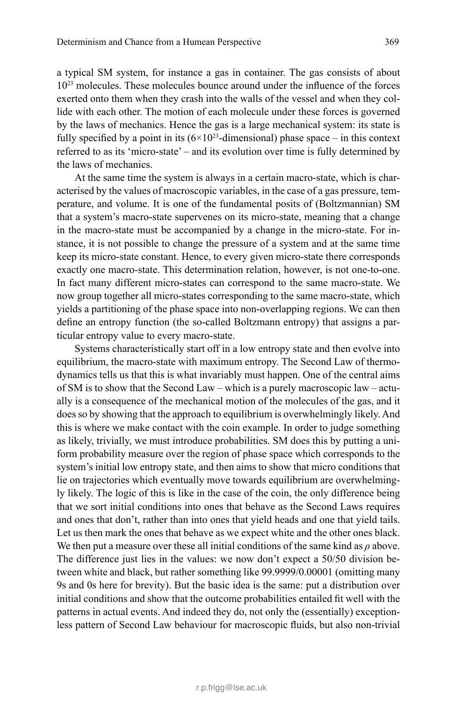a typical SM system, for instance a gas in container. The gas consists of about  $10^{23}$  molecules. These molecules bounce around under the influence of the forces exerted onto them when they crash into the walls of the vessel and when they collide with each other. The motion of each molecule under these forces is governed by the laws of mechanics. Hence the gas is a large mechanical system: its state is fully specified by a point in its  $(6\times10^{23}$ -dimensional) phase space – in this context referred to as its 'micro-state' – and its evolution over time is fully determined by the laws of mechanics.

 At the same time the system is always in a certain macro-state, which is characterised by the values of macroscopic variables, in the case of a gas pressure, temperature, and volume. It is one of the fundamental posits of (Boltzmannian) SM that a system's macro-state supervenes on its micro-state, meaning that a change in the macro-state must be accompanied by a change in the micro-state. For instance, it is not possible to change the pressure of a system and at the same time keep its micro-state constant. Hence, to every given micro-state there corresponds exactly one macro-state. This determination relation, however, is not one-to-one. In fact many different micro-states can correspond to the same macro-state. We now group together all micro-states corresponding to the same macro-state, which yields a partitioning of the phase space into non-overlapping regions. We can then define an entropy function (the so-called Boltzmann entropy) that assigns a particular entropy value to every macro-state.

 Systems characteristically start off in a low entropy state and then evolve into equilibrium, the macro-state with maximum entropy. The Second Law of thermodynamics tells us that this is what invariably must happen. One of the central aims of SM is to show that the Second Law – which is a purely macroscopic law – actually is a consequence of the mechanical motion of the molecules of the gas, and it does so by showing that the approach to equilibrium is overwhelmingly likely. And this is where we make contact with the coin example. In order to judge something as likely, trivially, we must introduce probabilities. SM does this by putting a uniform probability measure over the region of phase space which corresponds to the system's initial low entropy state, and then aims to show that micro conditions that lie on trajectories which eventually move towards equilibrium are overwhelmingly likely. The logic of this is like in the case of the coin, the only difference being that we sort initial conditions into ones that behave as the Second Laws requires and ones that don't, rather than into ones that yield heads and one that yield tails. Let us then mark the ones that behave as we expect white and the other ones black. We then put a measure over these all initial conditions of the same kind as  $\rho$  above. The difference just lies in the values: we now don't expect a 50/50 division between white and black, but rather something like 99.9999/0.00001 (omitting many 9s and 0s here for brevity). But the basic idea is the same: put a distribution over initial conditions and show that the outcome probabilities entailed fit well with the patterns in actual events. And indeed they do, not only the (essentially) exceptionless pattern of Second Law behaviour for macroscopic fluids, but also non-trivial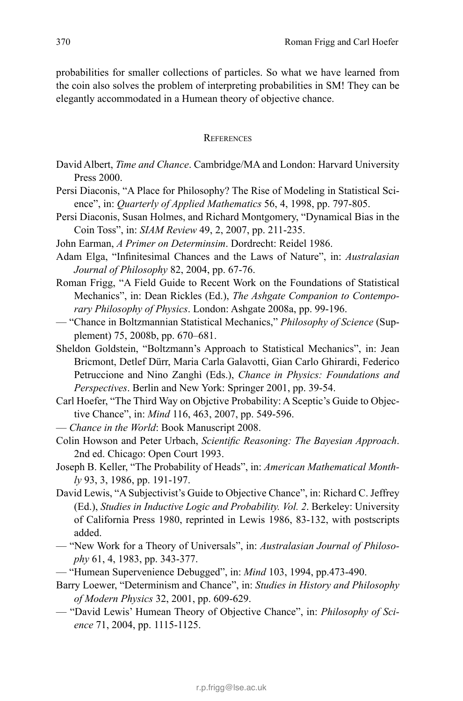probabilities for smaller collections of particles. So what we have learned from the coin also solves the problem of interpreting probabilities in SM! They can be elegantly accommodated in a Humean theory of objective chance.

#### **REFERENCES**

- David Albert, *Time and Chance*. Cambridge/MA and London: Harvard University Press 2000.
- Persi Diaconis, "A Place for Philosophy? The Rise of Modeling in Statistical Science", in: *Quarterly of Applied Mathematics* 56, 4, 1998, pp. 797-805.
- Persi Diaconis, Susan Holmes, and Richard Montgomery, "Dynamical Bias in the Coin Toss", in: *SIAM Review* 49, 2, 2007, pp. 211-235.
- John Earman, *A Primer on Determinsim*. Dordrecht: Reidel 1986.
- Adam Elga, "Infinitesimal Chances and the Laws of Nature", in: Australasian *Journal of Philosophy* 82, 2004, pp. 67-76.
- Roman Frigg, "A Field Guide to Recent Work on the Foundations of Statistical Mechanics", in: Dean Rickles (Ed.), *The Ashgate Companion to Contemporary Philosophy of Physics*. London: Ashgate 2008a, pp. 99-196.
- "Chance in Boltzmannian Statistical Mechanics," *Philosophy of Science* (Supplement) 75, 2008b, pp. 670–681.
- Sheldon Goldstein, "Boltzmann's Approach to Statistical Mechanics", in: Jean Bricmont, Detlef Dürr, Maria Carla Galavotti, Gian Carlo Ghirardi, Federico Petruccione and Nino Zanghì (Eds.), *Chance in Physics: Foundations and Perspectives*. Berlin and New York: Springer 2001, pp. 39-54.
- Carl Hoefer, "The Third Way on Objctive Probability: A Sceptic's Guide to Objective Chance", in: *Mind* 116, 463, 2007, pp. 549-596.
- *Chance in the World*: Book Manuscript 2008.
- Colin Howson and Peter Urbach, *Scientific Reasoning: The Bayesian Approach*. 2nd ed. Chicago: Open Court 1993.
- Joseph B. Keller, "The Probability of Heads", in: *American Mathematical Monthly* 93, 3, 1986, pp. 191-197.
- David Lewis, "A Subjectivist's Guide to Objective Chance", in: Richard C. Jeffrey (Ed.), *Studies in Inductive Logic and Probability. Vol. 2*. Berkeley: University of California Press 1980, reprinted in Lewis 1986, 83-132, with postscripts added.
- "New Work for a Theory of Universals", in: *Australasian Journal of Philosophy* 61, 4, 1983, pp. 343-377.
- "Humean Supervenience Debugged", in: *Mind* 103, 1994, pp.473-490.
- Barry Loewer, "Determinism and Chance", in: *Studies in History and Philosophy of Modern Physics* 32, 2001, pp. 609-629.
- "David Lewis' Humean Theory of Objective Chance", in: *Philosophy of Science* 71, 2004, pp. 1115-1125.